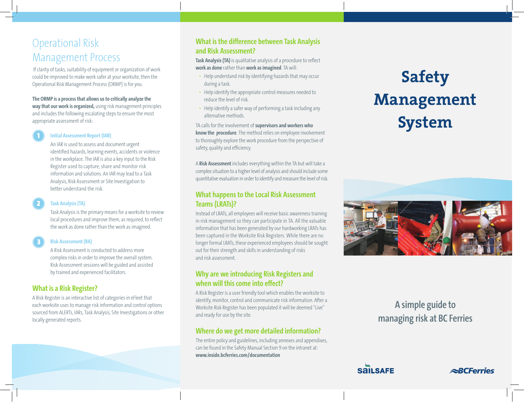# Operational Risk Management Process

 If clarity of tasks, suitability of equipment or organization of work could be improved to make work safer at your worksite, then the Operational Risk Management Process (ORMP) is for you.

#### **The ORMP is a process that allows us to critically analyze the**

**way that our work is organized,** using risk management principles and includes the following escalating steps to ensure the most appropriate assessment of risk:

#### **Initial Assessment Report (IAR)** 1

An IAR is used to assess and document urgent identified hazards, learning events, accidents or violence in the workplace. The IAR is also a key input to the Risk Register used to capture, share and monitor risk information and solutions. An IAR may lead to a Task Analysis, Risk Assessment or Site Investigation to better understand the risk.

#### **Task Analysis (TA)**

2

Task Analysis is the primary means for a worksite to review local procedures and improve them, as required, to reflect the work as done rather than the work as imagined.

#### **Risk Assessment (RA)** 3

A Risk Assessment is conducted to address more complex risks in order to improve the overall system. Risk Assessment sessions will be guided and assisted by trained and experienced facilitators.

### **What is a Risk Register?**

A Risk Register is an interactive list of categories in eFleet that each worksite uses to manage risk information and control options sourced from ALERTs, IARs, Task Analysis, Site Investigations or other locally generated reports.

### **What is the difference between Task Analysis and Risk Assessment?**

**Task Analysis (TA)** is qualitative analysis of a procedure to reflect **work as done** rather than **work as imagined**. TA will:

- Help understand risk by identifying hazards that may occur during a task.
- Help identify the appropriate control measures needed to reduce the level of risk.
- Help identify a safer way of performing a task including any alternative methods.

TA calls for the involvement of **supervisors and workers who know the procedure**. The method relies on employee involvement to thoroughly explore the work procedure from the perspective of safety, quality and efficiency.

A **Risk Assessment** includes everything within the TA but will take a complex situation to a higher level of analysis and should include some quantitative evaluation in order to identify and measure the level of risk.

#### **What happens to the Local Risk Assessment Teams (LRATs)?**

Instead of LRATs, all employees will receive basic awareness training in risk management so they can participate in TA. All the valuable information that has been generated by our hardworking LRATs has been captured in the Worksite Risk Registers. While there are no longer formal LRATs, these experienced employees should be sought out for their strength and skills in understanding of risks and risk assessment.

#### **Why are we introducing Risk Registers and when will this come into effect?**

A Risk Register is a user friendly tool which enables the worksite to identify, monitor, control and communicate risk information. After a Worksite Risk Register has been populated it will be deemed "Live" and ready for use by the site.

#### **Where do we get more detailed information?**

The entire policy and guidelines, including annexes and appendixes, can be found in the Safety Manual Section 9 on the intranet at: **www.inside.bcferries.com/documentation**

# **Safety Management System**



## **A simple guide to managing risk at BC Ferries**